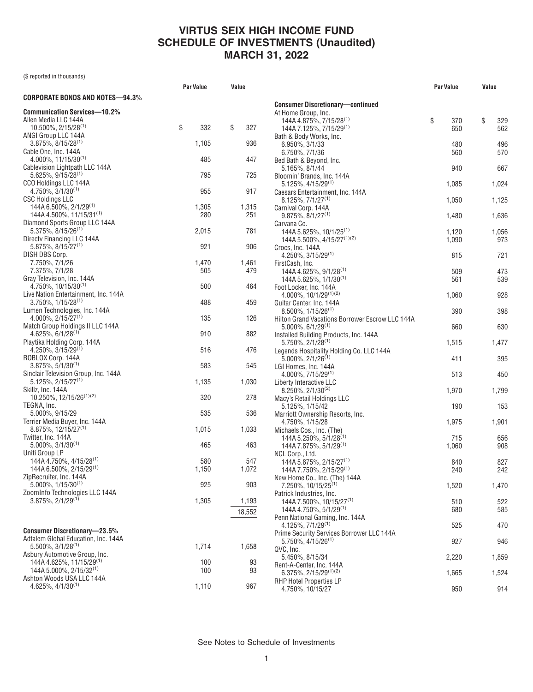(\$ reported in thousands)

|                                                           | <b>Par Value</b> | Value |        |                                                                 | <b>Par Value</b> | Value |       |
|-----------------------------------------------------------|------------------|-------|--------|-----------------------------------------------------------------|------------------|-------|-------|
| CORPORATE BONDS AND NOTES-94.3%                           |                  |       |        |                                                                 |                  |       |       |
| Communication Services—10.2%                              |                  |       |        | <b>Consumer Discretionary-continued</b>                         |                  |       |       |
| Allen Media LLC 144A                                      |                  |       |        | At Home Group, Inc.<br>144A 4.875%, 7/15/28 <sup>(1)</sup>      | \$<br>370        | \$    | 329   |
| $10.500\%$ , $2/15/28^{(1)}$                              | \$<br>332        | \$    | 327    | 144A 7.125%, 7/15/29 <sup>(1)</sup>                             | 650              |       | 562   |
| ANGI Group LLC 144A                                       |                  |       |        | Bath & Body Works, Inc.                                         |                  |       |       |
| $3.875\%$ , $8/15/28^{(1)}$                               | 1,105            |       | 936    | 6.950%, 3/1/33                                                  | 480              |       | 496   |
| Cable One, Inc. 144A                                      |                  |       |        | 6.750%, 7/1/36                                                  | 560              |       | 570   |
| $4.000\%$ , 11/15/30 <sup>(1)</sup>                       | 485              |       | 447    | Bed Bath & Beyond, Inc.                                         |                  |       |       |
| Cablevision Lightpath LLC 144A                            |                  |       |        | 5.165%, 8/1/44                                                  | 940              |       | 667   |
| $5.625\%$ , 9/15/28 <sup>(1)</sup>                        | 795              |       | 725    | Bloomin' Brands, Inc. 144A                                      |                  |       |       |
| CCO Holdings LLC 144A                                     |                  |       |        | $5.125\%, 4/15/29^{(1)}$                                        | 1,085            |       | 1,024 |
| $4.750\%$ , $3/1/30^{(1)}$                                | 955              |       | 917    | Caesars Entertainment, Inc. 144A                                |                  |       |       |
| <b>CSC Holdings LLC</b>                                   |                  |       |        | $8.125\%$ . 7/1/27 $^{(1)}$                                     | 1,050            |       | 1,125 |
| 144A 6.500%, 2/1/29 <sup>(1)</sup>                        | 1,305            |       | 1,315  | Carnival Corp. 144A                                             |                  |       |       |
| 144A 4.500%, 11/15/31 <sup>(1)</sup>                      | 280              |       | 251    | $9.875\%, 8/1/27^{(1)}$                                         | 1,480            |       | 1,636 |
| Diamond Sports Group LLC 144A                             |                  |       |        | Carvana Co.                                                     |                  |       |       |
| $5.375\%$ , 8/15/26 <sup>(1)</sup>                        | 2,015            |       | 781    | 144A 5.625%, 10/1/25 <sup>(1)</sup>                             | 1,120            |       | 1,056 |
| Directv Financing LLC 144A<br>$5.875\%, 8/15/27^{(1)}$    | 921              |       | 906    | 144A 5.500%, 4/15/27 <sup>(1)(2)</sup>                          | 1,090            |       | 973   |
| DISH DBS Corp.                                            |                  |       |        | Crocs, Inc. 144A<br>$4.250\%$ , $3/15/29^{(1)}$                 | 815              |       | 721   |
| 7.750%, 7/1/26                                            | 1,470            |       | 1,461  | FirstCash, Inc.                                                 |                  |       |       |
| 7.375%, 7/1/28                                            | 505              |       | 479    | 144A 4.625%, 9/1/28 <sup>(1)</sup>                              | 509              |       | 473   |
| Gray Television, Inc. 144A                                |                  |       |        | 144A 5.625%, 1/1/30 <sup>(1)</sup>                              | 561              |       | 539   |
| 4.750%, 10/15/30 <sup>(1)</sup>                           | 500              |       | 464    | Foot Locker, Inc. 144A                                          |                  |       |       |
| Live Nation Entertainment, Inc. 144A                      |                  |       |        | 4.000%, 10/1/29(1)(2)                                           | 1,060            |       | 928   |
| $3.750\%$ , $1/15/28^{(1)}$                               | 488              |       | 459    | Guitar Center, Inc. 144A                                        |                  |       |       |
| Lumen Technologies, Inc. 144A                             |                  |       |        | $8.500\%$ , $1/15/26^{(1)}$                                     | 390              |       | 398   |
| $4.000\%$ , 2/15/27 <sup>(1)</sup>                        | 135              |       | 126    | Hilton Grand Vacations Borrower Escrow LLC 144A                 |                  |       |       |
| Match Group Holdings II LLC 144A                          |                  |       |        | $5.000\%$ , 6/1/29 <sup>(1)</sup>                               | 660              |       | 630   |
| $4.625\%, 6/1/28^{(1)}$                                   | 910              |       | 882    | Installed Building Products, Inc. 144A                          |                  |       |       |
| Playtika Holding Corp. 144A                               |                  |       |        | $5.750\%$ , $2/1/28^{(1)}$                                      | 1,515            |       | 1,477 |
| $4.250\%$ , 3/15/29 <sup>(1)</sup>                        | 516              |       | 476    | Legends Hospitality Holding Co. LLC 144A                        |                  |       |       |
| ROBLOX Corp. 144A<br>$3.875\%, 5/1/30^{(1)}$              | 583              |       | 545    | $5.000\%$ , $2/1/26^{(1)}$                                      | 411              |       | 395   |
| Sinclair Television Group, Inc. 144A                      |                  |       |        | LGI Homes, Inc. 144A                                            | 513              |       | 450   |
| $5.125\%, 2/15/27^{(1)}$                                  | 1,135            |       | 1,030  | $4.000\%$ , $7/15/29^{(1)}$<br>Liberty Interactive LLC          |                  |       |       |
| Skillz, Inc. 144A                                         |                  |       |        | $8.250\%$ , $2/1/30^{(2)}$                                      | 1,970            |       | 1,799 |
| 10.250%, 12/15/26(1)(2)                                   | 320              |       | 278    | Macy's Retail Holdings LLC                                      |                  |       |       |
| TEGNA, Inc.                                               |                  |       |        | 5.125%, 1/15/42                                                 | 190              |       | 153   |
| 5.000%, 9/15/29                                           | 535              |       | 536    | Marriott Ownership Resorts, Inc.                                |                  |       |       |
| Terrier Media Buyer, Inc. 144A                            |                  |       |        | 4.750%, 1/15/28                                                 | 1,975            |       | 1,901 |
| $8.875\%, 12/15/27^{(1)}$                                 | 1,015            |       | 1,033  | Michaels Cos., Inc. (The)                                       |                  |       |       |
| Twitter, Inc. 144A                                        |                  |       |        | 144A 5.250%, 5/1/28 <sup>(1)</sup>                              | 715              |       | 656   |
| $5.000\%$ , $3/1/30^{(1)}$                                | 465              |       | 463    | 144A 7.875%, 5/1/29 <sup>(1)</sup>                              | 1,060            |       | 908   |
| Uniti Group LP                                            |                  |       |        | NCL Corp., Ltd.                                                 |                  |       |       |
| 144A 4.750%, 4/15/28 <sup>(1)</sup>                       | 580              |       | 547    | 144A 5.875%, 2/15/27 <sup>(1)</sup>                             | 840              |       | 827   |
| 144A 6.500%, 2/15/29 <sup>(1)</sup>                       | 1,150            |       | 1,072  | 144A 7.750%, 2/15/29 <sup>(1)</sup>                             | 240              |       | 242   |
| ZipRecruiter, Inc. 144A<br>$5.000\%$ , $1/15/30^{(1)}$    | 925              |       | 903    | New Home Co., Inc. (The) 144A                                   |                  |       |       |
| ZoomInfo Technologies LLC 144A                            |                  |       |        | $7.250\%$ , 10/15/25 <sup>(1)</sup><br>Patrick Industries, Inc. | 1,520            |       | 1,470 |
| $3.875\%, 2/1/29^{(1)}$                                   | 1,305            |       | 1,193  | 144A 7.500%, 10/15/27 <sup>(1)</sup>                            | 510              |       | 522   |
|                                                           |                  |       |        | 144A 4.750%, 5/1/29 <sup>(1)</sup>                              | 680              |       | 585   |
|                                                           |                  |       | 18,552 | Penn National Gaming, Inc. 144A                                 |                  |       |       |
|                                                           |                  |       |        | 4.125%, 7/1/29 <sup>(1)</sup>                                   | 525              |       | 470   |
| <b>Consumer Discretionary-23.5%</b>                       |                  |       |        | Prime Security Services Borrower LLC 144A                       |                  |       |       |
| Adtalem Global Education, Inc. 144A                       |                  |       |        | $5.750\%$ , 4/15/26 $^{(1)}$                                    | 927              |       | 946   |
| $5.500\%$ , $3/1/28^{(1)}$                                | 1,714            |       | 1,658  | QVC, Inc.                                                       |                  |       |       |
| Asbury Automotive Group, Inc.                             |                  |       |        | 5.450%, 8/15/34                                                 | 2,220            |       | 1,859 |
| 144A 4.625%, 11/15/29 <sup>(1)</sup>                      | 100              |       | 93     | Rent-A-Center, Inc. 144A                                        |                  |       |       |
| 144A 5.000%, $2/15/32^{(1)}$<br>Ashton Woods USA LLC 144A | 100              |       | 93     | $6.375\%$ , 2/15/29 <sup>(1)(2)</sup>                           | 1,665            |       | 1,524 |
| $4.625\%, 4/1/30^{(1)}$                                   | 1,110            |       | 967    | <b>RHP Hotel Properties LP</b>                                  |                  |       |       |
|                                                           |                  |       |        | 4.750%, 10/15/27                                                | 950              |       | 914   |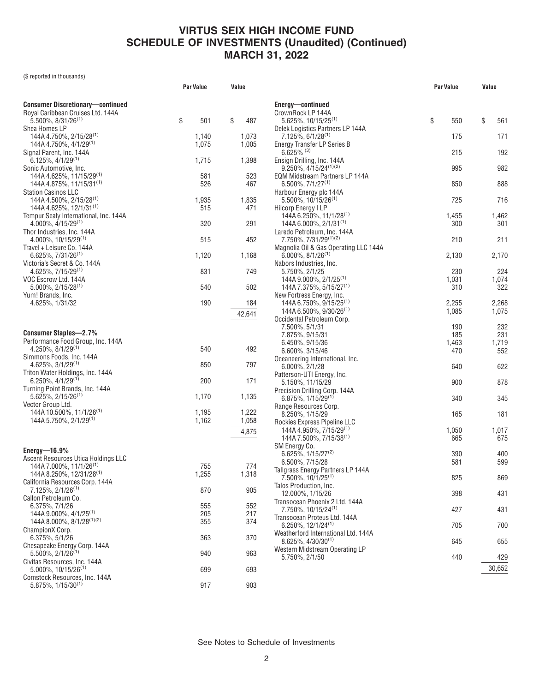(\$ reported in thousands)

|                                                                         | Par Value |              | Value          |  |
|-------------------------------------------------------------------------|-----------|--------------|----------------|--|
| <b>Consumer Discretionary-continued</b>                                 |           |              |                |  |
| Royal Caribbean Cruises Ltd. 144A                                       |           |              |                |  |
| $5.500\%$ , $8/31/26^{(1)}$<br>Shea Homes LP                            | \$        | 501          | \$<br>487      |  |
| 144A 4.750%, 2/15/28 <sup>(1)</sup>                                     |           | 1,140        | 1,073          |  |
| 144A 4.750%, 4/1/29 <sup>(1)</sup><br>Signal Parent, Inc. 144A          |           | 1,075        | 1,005          |  |
| $6.125\%, 4/1/29^{(1)}$                                                 |           | 1,715        | 1,398          |  |
| Sonic Automotive, Inc.<br>144A 4.625%, 11/15/29 <sup>(1)</sup>          |           | 581          | 523            |  |
| 144A 4.875%, 11/15/31 <sup>(1)</sup>                                    |           | 526          | 467            |  |
| <b>Station Casinos LLC</b><br>144A 4.500%, 2/15/28 <sup>(1)</sup>       |           |              |                |  |
| 144A 4.625%, 12/1/31(1)                                                 |           | 1,935<br>515 | 1,835<br>471   |  |
| Tempur Sealy International, Inc. 144A<br>$4.000\%$ , $4/15/29^{(1)}$    |           |              | 291            |  |
| Thor Industries, Inc. 144A                                              |           | 320          |                |  |
| $4.000\%$ , 10/15/29 <sup>(1)</sup>                                     |           | 515          | 452            |  |
| Travel + Leisure Co. 144A<br>$6.625\%$ , $7/31/26^{(1)}$                |           | 1,120        | 1,168          |  |
| Victoria's Secret & Co. 144A                                            |           |              |                |  |
| $4.625\%, 7/15/29^{(1)}$<br>VOC Escrow Ltd. 144A                        |           | 831          | 749            |  |
| $5.000\%$ , 2/15/28 <sup>(1)</sup>                                      |           | 540          | 502            |  |
| Yum! Brands, Inc.<br>4.625%, 1/31/32                                    |           | 190          | 184            |  |
|                                                                         |           |              | 42,641         |  |
|                                                                         |           |              |                |  |
| <b>Consumer Staples-2.7%</b><br>Performance Food Group, Inc. 144A       |           |              |                |  |
| $4.250\%$ , $8/1/29^{(1)}$                                              |           | 540          | 492            |  |
| Simmons Foods, Inc. 144A<br>$4.625\%, 3/1/29^{(1)}$                     |           | 850          | 797            |  |
| Triton Water Holdings, Inc. 144A                                        |           |              |                |  |
| $6.250\%$ , 4/1/29 <sup>(1)</sup><br>Turning Point Brands, Inc. 144A    |           | 200          | 171            |  |
| $5.625\%, 2/15/26^{(1)}$                                                |           | 1,170        | 1,135          |  |
| Vector Group Ltd.<br>144A 10.500%, 11/1/26 <sup>(1)</sup>               |           | 1,195        |                |  |
| 144A 5.750%, 2/1/29 <sup>(1)</sup>                                      |           | 1,162        | 1,222<br>1,058 |  |
|                                                                         |           |              | 4,875          |  |
|                                                                         |           |              |                |  |
| Energy- $16.9\%$<br>Ascent Resources Utica Holdings LLC                 |           |              |                |  |
| 144A 7.000%, 11/1/26 <sup>(1)</sup>                                     |           | 755          | 774            |  |
| 144A 8.250%, 12/31/28 <sup>(1)</sup><br>California Resources Corp. 144A |           | 1,255        | 1,318          |  |
| 7.125%, 2/1/26 <sup>(1)</sup>                                           |           | 870          | 905            |  |
| Callon Petroleum Co.<br>6.375%, 7/1/26                                  |           | 555          | 552            |  |
| 144A 9.000%, 4/1/25 <sup>(1)</sup>                                      |           | 205          | 217            |  |
| 144A 8.000%, 8/1/28(1)(2)<br>ChampionX Corp.                            |           | 355          | 374            |  |
| 6.375%, 5/1/26                                                          |           | 363          | 370            |  |
| Chesapeake Energy Corp. 144A<br>$5.500\%$ , $2/1/26^{(1)}$              |           | 940          | 963            |  |
| Civitas Resources, Inc. 144A                                            |           |              |                |  |
| $5.000\%$ , 10/15/26 <sup>(1)</sup><br>Comstock Resources, Inc. 144A    |           | 699          | 693            |  |
| $5.875\%, 1/15/30^{(1)}$                                                |           | 917          | 903            |  |
|                                                                         |           |              |                |  |

|                                                                     | Par Value | Value     |
|---------------------------------------------------------------------|-----------|-----------|
|                                                                     |           |           |
| Energy-continued<br>CrownRock LP 144A                               |           |           |
| $5.625\%$ , 10/15/25 <sup>(1)</sup>                                 | \$<br>550 | \$<br>561 |
| Delek Logistics Partners LP 144A<br>7.125%, 6/1/28 <sup>(1)</sup>   | 175       | 171       |
| Energy Transfer LP Series B<br>$6.625\%$ (3)                        | 215       | 192       |
| Ensign Drilling, Inc. 144A<br>9.250%, 4/15/24 <sup>(1)(2)</sup>     | 995       | 982       |
| EQM Midstream Partners LP 144A<br>$6.500\%$ , $7/1/27^{(1)}$        | 850       | 888       |
| Harbour Energy plc 144A<br>$5.500\%$ , 10/15/26 <sup>(1)</sup>      | 725       | 716       |
| <b>Hilcorp Energy I LP</b>                                          |           |           |
| 144A 6.250%, 11/1/28 <sup>(1)</sup>                                 | 1,455     | 1,462     |
| 144A 6.000%, $2/1/31^{(1)}$                                         | 300       | 301       |
| Laredo Petroleum, Inc. 144A<br>7.750%, 7/31/29(1)(2)                | 210       | 211       |
| Magnolia Oil & Gas Operating LLC 144A                               |           |           |
| $6.000\%$ , $8/1/26^{(1)}$                                          | 2,130     | 2,170     |
| Nabors Industries, Inc.<br>5.750%, 2/1/25                           | 230       | 224       |
| 144A 9.000%, 2/1/25 <sup>(1)</sup>                                  | 1,031     | 1,074     |
| 144A 7.375%, 5/15/27 <sup>(1)</sup>                                 | 310       | 322       |
| New Fortress Energy, Inc.                                           |           |           |
| 144A 6.750%, 9/15/25 <sup>(1)</sup>                                 | 2,255     | 2,268     |
| 144A 6.500%, $9/30/26^{(1)}$                                        | 1,085     | 1,075     |
| Occidental Petroleum Corp.                                          |           |           |
| 7.500%, 5/1/31                                                      | 190       | 232       |
| 7.875%, 9/15/31                                                     | 185       | 231       |
| 6.450%, 9/15/36                                                     | 1,463     | 1,719     |
| 6.600%, 3/15/46                                                     | 470       | 552       |
| Oceaneering International, Inc.                                     |           |           |
| $6.000\%$ , $2/1/28$                                                | 640       | 622       |
| Patterson-UTI Energy, Inc.<br>5.150%, 11/15/29                      | 900       | 878       |
| Precision Drilling Corp. 144A                                       |           |           |
| $6.875\%, 1/15/29^{(1)}$                                            | 340       | 345       |
| Range Resources Corp.                                               |           |           |
| 8.250%, 1/15/29                                                     | 165       | 181       |
| Rockies Express Pipeline LLC                                        |           |           |
| 144A 4.950%, 7/15/29 <sup>(1)</sup>                                 | 1,050     | 1,017     |
| 144A 7.500%, 7/15/38(1)                                             | 665       | 675       |
| SM Energy Co.                                                       |           |           |
| 6.625%, 1/15/27 <sup>(2)</sup>                                      | 390       | 400       |
| 6.500%, 7/15/28                                                     | 581       | 599       |
| Tallgrass Energy Partners LP 144A<br>7.500%, 10/1/25 <sup>(1)</sup> | 825       | 869       |
| Talos Production, Inc.                                              |           |           |
| 12.000%, 1/15/26                                                    | 398       | 431       |
| Transocean Phoenix 2 Ltd. 144A                                      |           |           |
| 7.750%, 10/15/24 <sup>(1)</sup>                                     | 427       | 431       |
| Transocean Proteus Ltd. 144A<br>6.250%, 12/1/24 <sup>(1)</sup>      |           |           |
| Weatherford International Ltd. 144A                                 | 705       | 700       |
| $8.625\%, 4/30/30^{(1)}$                                            | 645       | 655       |
| Western Midstream Operating LP                                      |           |           |
| 5.750%, 2/1/50                                                      | 440       | 429       |
|                                                                     |           | 30,652    |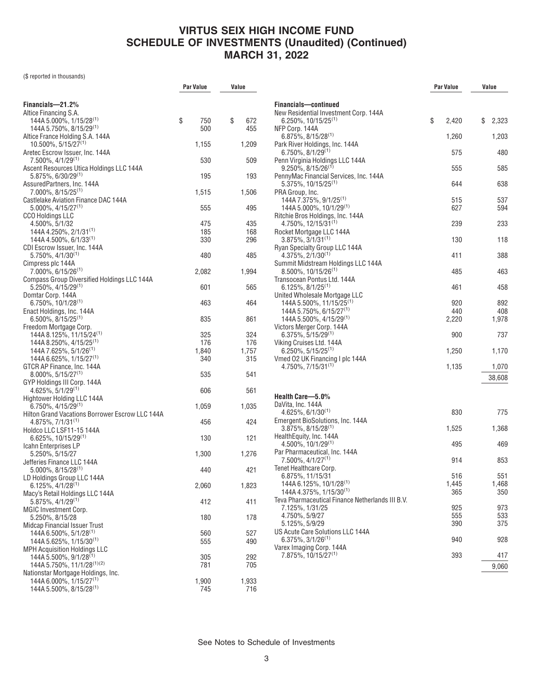(\$ reported in thousands)

|                                                                                   | Par Value    | Value        |  |
|-----------------------------------------------------------------------------------|--------------|--------------|--|
|                                                                                   |              |              |  |
| Financials-21.2%<br>Altice Financing S.A.                                         |              |              |  |
| 144A 5.000%, 1/15/28 <sup>(1)</sup>                                               | \$<br>750    | \$<br>672    |  |
| 144A 5.750%, 8/15/29 <sup>(1)</sup>                                               | 500          | 455          |  |
| Altice France Holding S.A. 144A<br>10.500%, 5/15/27(1)                            | 1,155        | 1,209        |  |
| Aretec Escrow Issuer, Inc. 144A<br>7.500%, 4/1/29(1)                              | 530          | 509          |  |
| Ascent Resources Utica Holdings LLC 144A                                          |              |              |  |
| $5.875\%$ , 6/30/29 <sup>(1)</sup><br>AssuredPartners, Inc. 144A                  | 195          | 193          |  |
| $7.000\%$ , 8/15/25 <sup>(1)</sup><br>Castlelake Aviation Finance DAC 144A        | 1,515        | 1,506        |  |
| $5.000\%$ , $4/15/27^{(1)}$                                                       | 555          | 495          |  |
| CCO Holdings LLC                                                                  |              |              |  |
| 4.500%, 5/1/32<br>144A 4.250%, 2/1/31 <sup>(1)</sup>                              | 475<br>185   | 435<br>168   |  |
| $144A$ 4.500%, 6/1/33 <sup>(1)</sup>                                              | 330          | 296          |  |
| CDI Escrow Issuer, Inc. 144A                                                      |              |              |  |
| 5.750%, 4/1/30 <sup>(1)</sup>                                                     | 480          | 485          |  |
| Cimpress plc 144A                                                                 |              |              |  |
| $7.000\%$ , 6/15/26 <sup>(1)</sup>                                                | 2,082        | 1,994        |  |
| Compass Group Diversified Holdings LLC 144A<br>$5.250\%$ , 4/15/29 <sup>(1)</sup> | 601          | 565          |  |
| Domtar Corp. 144A<br>$6.750\%$ , 10/1/28 <sup>(1)</sup>                           | 463          | 464          |  |
| Enact Holdings, Inc. 144A                                                         |              |              |  |
| $6.500\%$ , $8/15/25^{(1)}$<br>Freedom Mortgage Corp.                             | 835          | 861          |  |
| 144A 8.125%, 11/15/24 <sup>(1)</sup>                                              | 325          | 324          |  |
| $144A8.250\%$ , $4/15/25$ <sup>(1)</sup>                                          | 176          | 176          |  |
| 144A 7.625%, 5/1/26 <sup>(1)</sup>                                                | 1,840        | 1,757        |  |
| 144A 6.625%, 1/15/27 <sup>(1)</sup>                                               | 340          | 315          |  |
| GTCR AP Finance, Inc. 144A                                                        |              |              |  |
| $8.000\%$ , 5/15/27 <sup>(1)</sup><br>GYP Holdings III Corp. 144A                 | 535          | 541          |  |
| $4.625\%, 5/1/29^{(1)}$                                                           | 606          | 561          |  |
| Hightower Holding LLC 144A<br>6.750%, 4/15/29 <sup>(1)</sup>                      | 1,059        | 1,035        |  |
| Hilton Grand Vacations Borrower Escrow LLC 144A                                   |              |              |  |
| $4.875\%, 7/1/31^{(1)}$<br>Holdco LLC LSF11-15 144A                               | 456          | 424          |  |
| $6.625\%, 10/15/29^{(1)}$<br>Icahn Enterprises LP                                 | 130          | 121          |  |
| 5.250%, 5/15/27                                                                   | 1,300        | 1,276        |  |
| Jefferies Finance LLC 144A<br>$5.000\%$ , $8/15/28^{(1)}$                         | 440          | 421          |  |
| LD Holdings Group LLC 144A<br>$6.125\%, 4/1/28^{(1)}$                             | 2,060        | 1,823        |  |
| Macy's Retail Holdings LLC 144A                                                   |              |              |  |
| $5.875\%, 4/1/29^{(1)}$<br>MGIC Investment Corp.                                  | 412          | 411          |  |
| 5.250%, 8/15/28<br><b>Midcap Financial Issuer Trust</b>                           | 180          | 178          |  |
| 144A 6.500%, 5/1/28 <sup>(1)</sup>                                                | 560          | 527          |  |
| 144A 5.625%, 1/15/30 <sup>(1)</sup><br><b>MPH Acquisition Holdings LLC</b>        | 555          | 490          |  |
| 144A 5.500%, 9/1/28 <sup>(1)</sup>                                                | 305          | 292          |  |
| 144A 5.750%, 11/1/28(1)(2)                                                        | 781          | 705          |  |
| Nationstar Mortgage Holdings, Inc.                                                |              |              |  |
| 144A 6.000%, 1/15/27 <sup>(1)</sup><br>144A 5.500%, 8/15/28 <sup>(1)</sup>        | 1,900<br>745 | 1,933<br>716 |  |
|                                                                                   |              |              |  |

|                                                                                  | Par Value |              | Value        |  |
|----------------------------------------------------------------------------------|-----------|--------------|--------------|--|
| Financials-continued                                                             |           |              |              |  |
| New Residential Investment Corp. 144A                                            |           |              |              |  |
| $6.250\%$ , 10/15/25 <sup>(1)</sup>                                              | \$        | 2,420        | \$<br>2,323  |  |
| NFP Corp. 144A<br>$6.875\%$ , $8/15/28$ <sup>(1)</sup>                           |           | 1,260        | 1,203        |  |
| Park River Holdings, Inc. 144A                                                   |           |              |              |  |
| $6.750\%$ , $8/1/29^{(1)}$<br>Penn Virginia Holdings LLC 144A                    |           | 575          | 480          |  |
| $9.250\%$ , 8/15/26 <sup>(1)</sup>                                               |           | 555          | 585          |  |
| PennyMac Financial Services, Inc. 144A<br>5.375%, 10/15/25 <sup>(1)</sup>        |           | 644          | 638          |  |
| PRA Group, Inc.                                                                  |           |              |              |  |
| 144A 7.375%, 9/1/25 <sup>(1)</sup><br>144A 5.000%, 10/1/29(1)                    |           | 515<br>627   | 537<br>594   |  |
| Ritchie Bros Holdings, Inc. 144A                                                 |           |              |              |  |
| $4.750\%$ , 12/15/31 <sup>(1)</sup>                                              |           | 239          | 233          |  |
| Rocket Mortgage LLC 144A<br>$3.875\%, 3/1/31^{(1)}$                              |           | 130          | 118          |  |
| Ryan Specialty Group LLC 144A                                                    |           |              |              |  |
| $4.375\%, 2/1/30^{(1)}$<br>Summit Midstream Holdings LLC 144A                    |           | 411          | 388          |  |
| $8.500\%$ , 10/15/26 <sup>(1)</sup>                                              |           | 485          | 463          |  |
| Transocean Pontus Ltd. 144A<br>$6.125\%, 8/1/25^{(1)}$                           |           | 461          | 458          |  |
| United Wholesale Mortgage LLC                                                    |           |              |              |  |
| 144A 5.500%, 11/15/25 <sup>(1)</sup>                                             |           | 920          | 892          |  |
| 144A 5.750%, 6/15/27 <sup>(1)</sup><br>$144A 5.500\%$ , $4/15/29$ <sup>(1)</sup> |           | 440<br>2,220 | 408<br>1,978 |  |
| Victors Merger Corp. 144A                                                        |           |              |              |  |
| $6.375\%$ , 5/15/29 <sup>(1)</sup><br>Viking Cruises Ltd. 144A                   |           | 900          | 737          |  |
| $6.250\%, 5/15/25^{(1)}$                                                         |           | 1,250        | 1,170        |  |
| Vmed 02 UK Financing I plc 144A<br>$4.750\%$ , $7/15/31^{(1)}$                   |           | 1,135        | 1,070        |  |
|                                                                                  |           |              | 38,608       |  |
|                                                                                  |           |              |              |  |
| Health Care-5.0%                                                                 |           |              |              |  |
| DaVita, Inc. 144A                                                                |           | 830          | 775          |  |
| $4.625\%, 6/1/30^{(1)}$<br>Emergent BioSolutions, Inc. 144A                      |           |              |              |  |
| $3.875\%$ , $8/15/28$ <sup>(1)</sup>                                             |           | 1,525        | 1,368        |  |
| HealthEquity, Inc. 144A<br>$4.500\%$ , 10/1/29 <sup>(1)</sup>                    |           | 495          | 469          |  |
| Par Pharmaceutical, Inc. 144A                                                    |           |              |              |  |
| 7.500%, 4/1/27 <sup>(1)</sup><br>Tenet Healthcare Corp.                          |           | 914          | 853          |  |
| 6.875%, 11/15/31                                                                 |           | 516          | 551          |  |
| 144A 6.125%, 10/1/28 <sup>(1)</sup>                                              |           | 1,445        | 1,468        |  |
| 144A 4.375%, 1/15/30(1)<br>Teva Pharmaceutical Finance Netherlands III B.V.      |           | 365          | 350          |  |
| 7.125%, 1/31/25                                                                  |           | 925          | 973          |  |
| 4.750%, 5/9/27                                                                   |           | 555          | 533          |  |
| 5.125%, 5/9/29<br>US Acute Care Solutions LLC 144A                               |           | 390          | 375          |  |
| $6.375\%, 3/1/26^{(1)}$                                                          |           | 940          | 928          |  |
| Varex Imaging Corp. 144A<br>7.875%, 10/15/27 <sup>(1)</sup>                      |           | 393          | 417          |  |
|                                                                                  |           |              | 9,060        |  |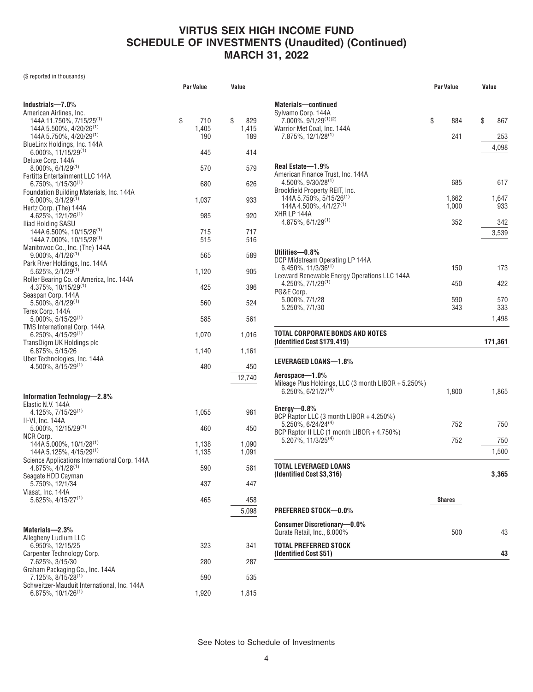(\$ reported in thousands)

|                                                                      | Par Value | Value     |
|----------------------------------------------------------------------|-----------|-----------|
|                                                                      |           |           |
| Industrials—7.0%                                                     |           |           |
| American Airlines, Inc.                                              |           |           |
| 144A 11.750%, 7/15/25 <sup>(1)</sup>                                 | \$<br>710 | \$<br>829 |
| $144A 5.500\%$ , $4/20/26$ <sup>(1)</sup>                            | 1,405     | 1,415     |
| 144A 5.750%, 4/20/29 <sup>(1)</sup>                                  | 190       | 189       |
| BlueLinx Holdings, Inc. 144A                                         |           |           |
| $6.000\%$ , 11/15/29 <sup>(1)</sup>                                  | 445       | 414       |
| Deluxe Corp. 144A                                                    |           |           |
| $8.000\%$ , 6/1/29 <sup>(1)</sup><br>Fertitta Entertainment LLC 144A | 570       | 579       |
| $6.750\%$ , $1/15/30^{(1)}$                                          | 680       | 626       |
| Foundation Building Materials, Inc. 144A                             |           |           |
| $6.000\%$ , 3/1/29 <sup>(1)</sup>                                    | 1,037     | 933       |
| Hertz Corp. (The) 144A                                               |           |           |
| $4.625\%, 12/1/26^{(1)}$                                             | 985       | 920       |
| Iliad Holding SASU                                                   |           |           |
| $144A\,6.500\%$ , 10/15/26 <sup>(1)</sup>                            | 715       | 717       |
| $144A7.000\%$ , $10/15/28^{(1)}$                                     | 515       | 516       |
| Manitowoc Co., Inc. (The) 144A                                       |           |           |
| $9.000\%$ , $4/1/26^{(1)}$                                           | 565       | 589       |
| Park River Holdings, Inc. 144A                                       |           |           |
| $5.625\%, 2/1/29^{(1)}$                                              | 1,120     | 905       |
| Roller Bearing Co. of America, Inc. 144A                             |           |           |
| $4.375\%$ , 10/15/29 <sup>(1)</sup>                                  | 425       | 396       |
| Seaspan Corp. 144A                                                   |           |           |
| $5.500\%$ , $8/1/29$ <sup>(1)</sup>                                  | 560       | 524       |
| Terex Corp. 144A                                                     |           |           |
| $5.000\%$ , 5/15/29 <sup>(1)</sup><br>TMS International Corp. 144A   | 585       | 561       |
| $6.250\%$ , 4/15/29 <sup>(1)</sup>                                   | 1,070     | 1,016     |
| TransDigm UK Holdings plc                                            |           |           |
| 6.875%, 5/15/26                                                      | 1,140     | 1,161     |
| Uber Technologies, Inc. 144A                                         |           |           |
| $4.500\%$ , $8/15/29^{(1)}$                                          | 480       | 450       |
|                                                                      |           |           |
|                                                                      |           | 12,740    |
|                                                                      |           |           |
| Information Technology-2.8%                                          |           |           |
| Elastic N.V. 144A                                                    |           |           |
| 4.125%, 7/15/29 <sup>(1)</sup>                                       | 1,055     | 981       |
| II-VI, Inc. 144A                                                     |           |           |
| 5.000%, 12/15/29 <sup>(1)</sup>                                      | 460       | 450       |
| NCR Corp.<br>144A 5.000%, 10/1/28 <sup>(1)</sup>                     | 1,138     | 1,090     |
| 144A 5.125%, 4/15/29(1)                                              | 1,135     | 1,091     |
| Science Applications International Corp. 144A                        |           |           |
| $4.875\%, 4/1/28^{(1)}$                                              | 590       | 581       |
| Seagate HDD Cayman                                                   |           |           |
| 5.750%, 12/1/34                                                      | 437       | 447       |
| Viasat, Inc. 144A                                                    |           |           |
| $5.625\%, 4/15/27^{(1)}$                                             | 465       | 458       |
|                                                                      |           | 5,098     |
|                                                                      |           |           |
|                                                                      |           |           |
| Materials-2.3%<br>Allegheny Ludlum LLC                               |           |           |
| 6.950%, 12/15/25                                                     | 323       | 341       |
| Carpenter Technology Corp.                                           |           |           |
| 7.625%, 3/15/30                                                      | 280       | 287       |
| Graham Packaging Co., Inc. 144A                                      |           |           |
| 7.125%, 8/15/28 <sup>(1)</sup>                                       | 590       | 535       |
| Schweitzer-Mauduit International, Inc. 144A                          |           |           |
| $6.875\%, 10/1/26^{(1)}$                                             | 1,920     | 1,815     |
|                                                                      |           |           |

|                                                                                  | <b>Par Value</b> | Value        |
|----------------------------------------------------------------------------------|------------------|--------------|
|                                                                                  |                  |              |
| <b>Materials-continued</b>                                                       |                  |              |
| Sylvamo Corp. 144A                                                               |                  |              |
| $7.000\%$ , $9/1/29^{(1)(2)}$<br>Warrior Met Coal, Inc. 144A                     | \$<br>884        | \$<br>867    |
| 7.875%, 12/1/28 <sup>(1)</sup>                                                   | 241              | 253          |
|                                                                                  |                  | 4,098        |
|                                                                                  |                  |              |
| Real Estate-1.9%                                                                 |                  |              |
| American Finance Trust, Inc. 144A                                                |                  |              |
| 4.500%, 9/30/28 <sup>(1)</sup>                                                   | 685              | 617          |
| Brookfield Property REIT, Inc.                                                   |                  |              |
| 144A 5.750%, 5/15/26 <sup>(1)</sup><br>144A 4.500%, 4/1/27 <sup>(1)</sup>        | 1,662<br>1,000   | 1,647<br>933 |
| XHR LP 144A                                                                      |                  |              |
| $4.875\%$ , 6/1/29 <sup>(1)</sup>                                                | 352              | 342          |
|                                                                                  |                  | 3,539        |
|                                                                                  |                  |              |
| Utilities—0.8%                                                                   |                  |              |
| DCP Midstream Operating LP 144A                                                  |                  |              |
| 6.450%, 11/3/36(1)                                                               | 150              | 173          |
| Leeward Renewable Energy Operations LLC 144A<br>$4.250\%, 7/1/29^{(1)}$          | 450              | 422          |
| PG&E Corp.                                                                       |                  |              |
| 5.000%, 7/1/28                                                                   | 590              | 570          |
| 5.250%, 7/1/30                                                                   | 343              | 333          |
|                                                                                  |                  | 1,498        |
| TOTAL CORPORATE BONDS AND NOTES                                                  |                  |              |
| (Identified Cost \$179,419)                                                      |                  | 171,361      |
|                                                                                  |                  |              |
| LEVERAGED LOANS-1.8%                                                             |                  |              |
|                                                                                  |                  |              |
| Aerospace-1.0%<br>Mileage Plus Holdings, LLC (3 month LIBOR + 5.250%)            |                  |              |
| $6.250\%$ , 6/21/27 <sup>(4)</sup>                                               | 1,800            | 1,865        |
|                                                                                  |                  |              |
| Energy $-0.8\%$                                                                  |                  |              |
| BCP Raptor LLC (3 month LIBOR + 4.250%)                                          |                  |              |
| $5.250\%$ , 6/24/24 <sup>(4)</sup><br>BCP Raptor II LLC (1 month LIBOR + 4.750%) | 752              | 750          |
| $5.207\%$ , 11/3/25 <sup>(4)</sup>                                               | 752              | 750          |
|                                                                                  |                  | 1,500        |
|                                                                                  |                  |              |
| <b>TOTAL LEVERAGED LOANS</b>                                                     |                  |              |
| (Identified Cost \$3,316)                                                        |                  | 3,365        |
|                                                                                  |                  |              |
|                                                                                  | Shares           |              |
| <b>PREFERRED STOCK-0.0%</b>                                                      |                  |              |
|                                                                                  |                  |              |
| <b>Consumer Discretionary-0.0%</b>                                               |                  |              |
| Qurate Retail, Inc., 8.000%                                                      | 500              | 43           |
|                                                                                  |                  |              |
| TOTAL PREFERRED STOCK                                                            |                  |              |
| (Identified Cost \$51)                                                           |                  | 43           |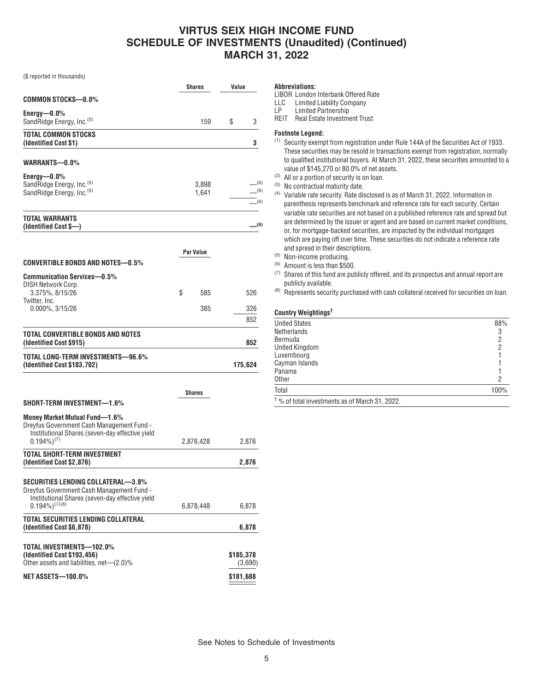(\$ reported in thousands)

|                                                                                                                                                            | <b>Shares</b>    | Value                   |
|------------------------------------------------------------------------------------------------------------------------------------------------------------|------------------|-------------------------|
| COMMON STOCKS—0.0%                                                                                                                                         |                  |                         |
| $Energy—0.0\%$<br>SandRidge Energy, Inc. <sup>(5)</sup>                                                                                                    | 159              | 3<br>S                  |
| TOTAL COMMON STOCKS<br>(Identified Cost \$1)                                                                                                               |                  | 3                       |
| WARRANTS—0.0%                                                                                                                                              |                  |                         |
| $Energy—0.0\%$<br>SandRidge Energy, Inc. <sup>(5)</sup><br>SandRidge Energy, Inc. <sup>(5)</sup>                                                           | 3,898<br>1,641   | (6)<br>(6)<br>$-^{(6)}$ |
| <b>TOTAL WARRANTS</b><br>(Identified Cost \$-)                                                                                                             |                  | _(6)                    |
| CONVERTIBLE BONDS AND NOTES—0.5%                                                                                                                           | <b>Par Value</b> |                         |
| <b>Communication Services-0.5%</b>                                                                                                                         |                  |                         |
| DISH Network Corp.<br>3.375%, 8/15/26                                                                                                                      | \$<br>585        | 526                     |
| Twitter, Inc.<br>$0.000\%$ , $3/15/26$                                                                                                                     | 385              | 326<br>852              |
| TOTAL CONVERTIBLE BONDS AND NOTES<br>(Identified Cost \$915)                                                                                               |                  | 852                     |
| TOTAL LONG-TERM INVESTMENTS-96.6%<br>(Identified Cost \$183,702)                                                                                           |                  | 175,624                 |
|                                                                                                                                                            | Shares           |                         |
| SHORT-TERM INVESTMENT—1.6%                                                                                                                                 |                  |                         |
| Money Market Mutual Fund-1.6%<br>Dreyfus Government Cash Management Fund -<br>Institutional Shares (seven-day effective yield<br>$0.194\%$ <sup>(7)</sup>  | 2,876,428        | 2,876                   |
| TOTAL SHORT-TERM INVESTMENT<br>(Identified Cost \$2,876)                                                                                                   |                  | 2,876                   |
| SECURITIES LENDING COLLATERAL—3.8%<br>Dreyfus Government Cash Management Fund -<br>Institutional Shares (seven-day effective yield<br>$(0.194\%)^{(7)(8)}$ | 6,878,448        | 6,878                   |
| TOTAL SECURITIES LENDING COLLATERAL                                                                                                                        |                  |                         |
| (Identified Cost \$6,878)                                                                                                                                  |                  | 6,878                   |
| TOTAL INVESTMENTS—102.0%<br>(Identified Cost \$193,456)<br>Other assets and liabilities, net—(2.0)%                                                        |                  | \$185,378<br>(3,690)    |
| NET ASSETS-100.0%                                                                                                                                          |                  | \$181,688               |

#### **Abbreviations:**

LIBOR London Interbank Offered Rate

- LLC Limited Liability Company<br>LP Limited Partnership
- Limited Partnership

REIT Real Estate Investment Trust

### **Footnote Legend:**

- (1) Security exempt from registration under Rule 144A of the Securities Act of 1933. These securities may be resold in transactions exempt from registration, normally to qualified institutional buyers. At March 31, 2022, these securities amounted to a value of \$145,270 or 80.0% of net assets.
- (2) All or a portion of security is on loan.
- (3) No contractual maturity date.
- (4) Variable rate security. Rate disclosed is as of March 31, 2022. Information in parenthesis represents benchmark and reference rate for each security. Certain variable rate securities are not based on a published reference rate and spread but are determined by the issuer or agent and are based on current market conditions, or, for mortgage-backed securities, are impacted by the individual mortgages which are paying off over time. These securities do not indicate a reference rate and spread in their descriptions.
- (5) Non-income producing.
- (6) Amount is less than \$500.
- (7) Shares of this fund are publicly offered, and its prospectus and annual report are publicly available.
- $(8)$  Represents security purchased with cash collateral received for securities on loan.

#### **Country Weightings†**

| <b>United States</b><br>Netherlands                       | 88%<br>3       |
|-----------------------------------------------------------|----------------|
| Bermuda                                                   | $\overline{2}$ |
| United Kingdom                                            | 2              |
| Luxembourg                                                |                |
| Cayman Islands                                            |                |
| Panama                                                    |                |
| <b>Other</b>                                              | 2              |
| Total                                                     | 100%           |
| <sup>†</sup> % of total investments as of March 31, 2022. |                |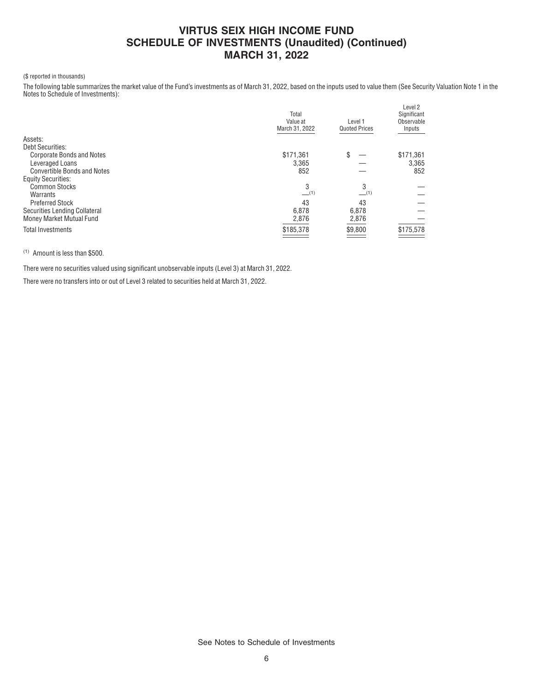### (\$ reported in thousands)

The following table summarizes the market value of the Fund's investments as of March 31, 2022, based on the inputs used to value them (See Security Valuation Note 1 in the Notes to Schedule of Investments):

|                                    | Total<br>Value at<br>March 31, 2022 | Level 1<br><b>Quoted Prices</b> | Level 2<br>Significant<br>Observable<br>Inputs |
|------------------------------------|-------------------------------------|---------------------------------|------------------------------------------------|
| Assets:                            |                                     |                                 |                                                |
| <b>Debt Securities:</b>            |                                     |                                 |                                                |
| <b>Corporate Bonds and Notes</b>   | \$171,361                           | \$                              | \$171,361                                      |
| Leveraged Loans                    | 3,365                               |                                 | 3,365                                          |
| <b>Convertible Bonds and Notes</b> | 852                                 |                                 | 852                                            |
| <b>Equity Securities:</b>          |                                     |                                 |                                                |
| <b>Common Stocks</b>               | 3                                   | 3                               |                                                |
| Warrants                           | $-$ (1)                             | $-$ (1)                         |                                                |
| <b>Preferred Stock</b>             | 43                                  | 43                              |                                                |
| Securities Lending Collateral      | 6,878                               | 6,878                           |                                                |
| Money Market Mutual Fund           | 2,876                               | 2,876                           |                                                |
| <b>Total Investments</b>           | \$185,378                           | \$9,800                         | \$175,578                                      |
|                                    |                                     |                                 |                                                |

### (1) Amount is less than \$500.

There were no securities valued using significant unobservable inputs (Level 3) at March 31, 2022.

There were no transfers into or out of Level 3 related to securities held at March 31, 2022.